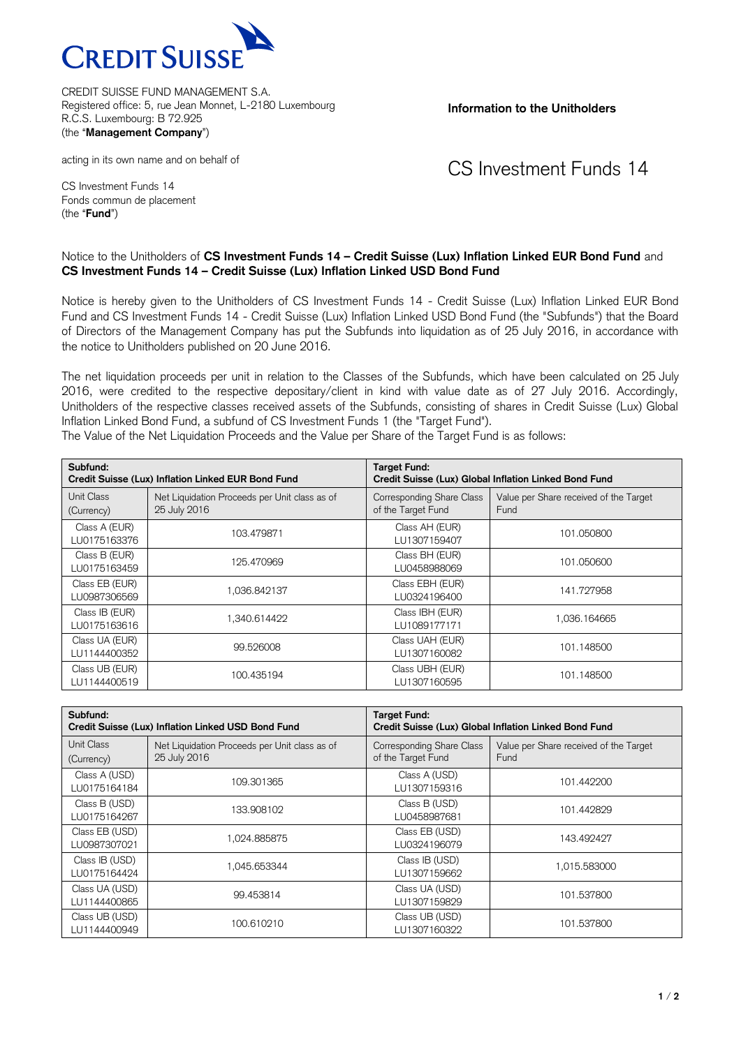

CREDIT SUISSE FUND MANAGEMENT S.A. Registered office: 5, rue Jean Monnet, L-2180 Luxembourg R.C.S. Luxembourg: B 72.925 (the "**Management Company**")

**Information to the Unitholders**

acting in its own name and on behalf of

CS Investment Funds 14

CS Investment Funds 14 Fonds commun de placement (the "**Fund**")

## Notice to the Unitholders of **CS Investment Funds 14 – Credit Suisse (Lux) Inflation Linked EUR Bond Fund** and **CS Investment Funds 14 – Credit Suisse (Lux) Inflation Linked USD Bond Fund**

Notice is hereby given to the Unitholders of CS Investment Funds 14 - Credit Suisse (Lux) Inflation Linked EUR Bond Fund and CS Investment Funds 14 - Credit Suisse (Lux) Inflation Linked USD Bond Fund (the "Subfunds") that the Board of Directors of the Management Company has put the Subfunds into liquidation as of 25 July 2016, in accordance with the notice to Unitholders published on 20 June 2016.

The net liquidation proceeds per unit in relation to the Classes of the Subfunds, which have been calculated on 25 July 2016, were credited to the respective depositary/client in kind with value date as of 27 July 2016. Accordingly, Unitholders of the respective classes received assets of the Subfunds, consisting of shares in Credit Suisse (Lux) Global Inflation Linked Bond Fund, a subfund of CS Investment Funds 1 (the "Target Fund").

| Subfund:<br>Credit Suisse (Lux) Inflation Linked EUR Bond Fund |                                                               | <b>Target Fund:</b><br>Credit Suisse (Lux) Global Inflation Linked Bond Fund |                                                |
|----------------------------------------------------------------|---------------------------------------------------------------|------------------------------------------------------------------------------|------------------------------------------------|
| Unit Class<br>(Currency)                                       | Net Liquidation Proceeds per Unit class as of<br>25 July 2016 | Corresponding Share Class<br>of the Target Fund                              | Value per Share received of the Target<br>Fund |
| Class A (EUR)<br>LU0175163376                                  | 103.479871                                                    | Class AH (EUR)<br>LU1307159407                                               | 101.050800                                     |
| Class B (EUR)<br>LU0175163459                                  | 125.470969                                                    | Class BH (EUR)<br>LU0458988069                                               | 101.050600                                     |
| Class EB (EUR)<br>LU0987306569                                 | 1,036.842137                                                  | Class EBH (EUR)<br>LU0324196400                                              | 141.727958                                     |
| Class IB (EUR)<br>LU0175163616                                 | 1.340.614422                                                  | Class IBH (EUR)<br>LU1089177171                                              | 1,036.164665                                   |
| Class UA (EUR)<br>LU1144400352                                 | 99.526008                                                     | Class UAH (EUR)<br>LU1307160082                                              | 101.148500                                     |
| Class UB (EUR)<br>LU1144400519                                 | 100.435194                                                    | Class UBH (EUR)<br>LU1307160595                                              | 101.148500                                     |

The Value of the Net Liquidation Proceeds and the Value per Share of the Target Fund is as follows:

| Subfund:<br>Credit Suisse (Lux) Inflation Linked USD Bond Fund |                                               | <b>Target Fund:</b><br>Credit Suisse (Lux) Global Inflation Linked Bond Fund |                                        |
|----------------------------------------------------------------|-----------------------------------------------|------------------------------------------------------------------------------|----------------------------------------|
| Unit Class                                                     | Net Liquidation Proceeds per Unit class as of | Corresponding Share Class                                                    | Value per Share received of the Target |
| (Currency)                                                     | 25 July 2016                                  | of the Target Fund                                                           | Fund                                   |
| Class A (USD)                                                  | 109.301365                                    | Class A (USD)                                                                | 101.442200                             |
| LU0175164184                                                   |                                               | LU1307159316                                                                 |                                        |
| Class B (USD)                                                  | 133.908102                                    | Class B (USD)                                                                | 101.442829                             |
| LU0175164267                                                   |                                               | LU0458987681                                                                 |                                        |
| Class EB (USD)                                                 | 1.024.885875                                  | Class EB (USD)                                                               | 143.492427                             |
| LU0987307021                                                   |                                               | LU0324196079                                                                 |                                        |
| Class IB (USD)                                                 | 045.653344                                    | Class IB (USD)                                                               | 1,015.583000                           |
| LU0175164424                                                   |                                               | LU1307159662                                                                 |                                        |
| Class UA (USD)                                                 | 99.453814                                     | Class UA (USD)                                                               | 101.537800                             |
| LU1144400865                                                   |                                               | LU1307159829                                                                 |                                        |
| Class UB (USD)                                                 | 100.610210                                    | Class UB (USD)                                                               | 101.537800                             |
| LU1144400949                                                   |                                               | LU1307160322                                                                 |                                        |